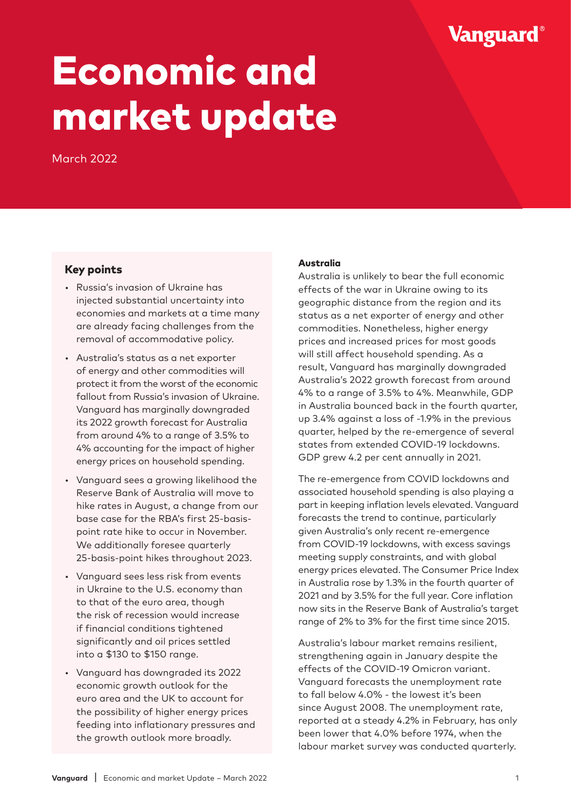# Vanguard®

# Economic and market update

March 2022

### Key points

- Russia's invasion of Ukraine has injected substantial uncertainty into economies and markets at a time many are already facing challenges from the removal of accommodative policy.
- Australia's status as a net exporter of energy and other commodities will protect it from the worst of the economic fallout from Russia's invasion of Ukraine. Vanguard has marginally downgraded its 2022 growth forecast for Australia from around 4% to a range of 3.5% to 4% accounting for the impact of higher energy prices on household spending.
- Vanguard sees a growing likelihood the Reserve Bank of Australia will move to hike rates in August, a change from our base case for the RBA's first 25-basispoint rate hike to occur in November. We additionally foresee quarterly 25-basis-point hikes throughout 2023.
- Vanguard sees less risk from events in Ukraine to the U.S. economy than to that of the euro area, though the risk of recession would increase if financial conditions tightened significantly and oil prices settled into a \$130 to \$150 range.
- Vanguard has downgraded its 2022 economic growth outlook for the euro area and the UK to account for the possibility of higher energy prices feeding into inflationary pressures and the growth outlook more broadly.

#### Australia

Australia is unlikely to bear the full economic effects of the war in Ukraine owing to its geographic distance from the region and its status as a net exporter of energy and other commodities. Nonetheless, higher energy prices and increased prices for most goods will still affect household spending. As a result, Vanguard has marginally downgraded Australia's 2022 growth forecast from around 4% to a range of 3.5% to 4%. Meanwhile, GDP in Australia bounced back in the fourth quarter, up 3.4% against a loss of -1.9% in the previous quarter, helped by the re-emergence of several states from extended COVID-19 lockdowns. GDP grew 4.2 per cent annually in 2021.

The re-emergence from COVID lockdowns and associated household spending is also playing a part in keeping inflation levels elevated. Vanguard forecasts the trend to continue, particularly given Australia's only recent re-emergence from COVID-19 lockdowns, with excess savings meeting supply constraints, and with global energy prices elevated. The Consumer Price Index in Australia rose by 1.3% in the fourth quarter of 2021 and by 3.5% for the full year. Core inflation now sits in the Reserve Bank of Australia's target range of 2% to 3% for the first time since 2015.

Australia's labour market remains resilient, strengthening again in January despite the effects of the COVID-19 Omicron variant. Vanguard forecasts the unemployment rate to fall below 4.0% - the lowest it's been since August 2008. The unemployment rate, reported at a steady 4.2% in February, has only been lower that 4.0% before 1974, when the labour market survey was conducted quarterly.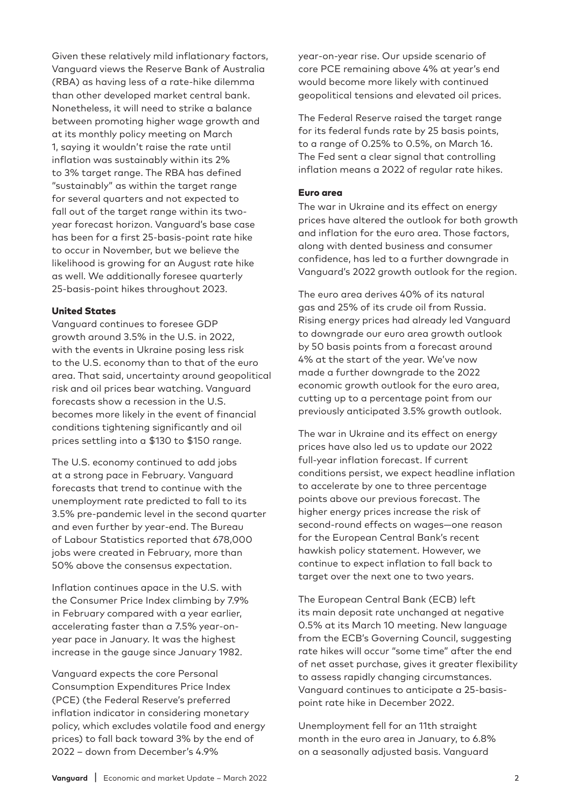Given these relatively mild inflationary factors, Vanguard views the Reserve Bank of Australia (RBA) as having less of a rate-hike dilemma than other developed market central bank. Nonetheless, it will need to strike a balance between promoting higher wage growth and at its monthly policy meeting on March 1, saying it wouldn't raise the rate until inflation was sustainably within its 2% to 3% target range. The RBA has defined "sustainably" as within the target range for several quarters and not expected to fall out of the target range within its twoyear forecast horizon. Vanguard's base case has been for a first 25-basis-point rate hike to occur in November, but we believe the likelihood is growing for an August rate hike as well. We additionally foresee quarterly 25-basis-point hikes throughout 2023.

#### United States

Vanguard continues to foresee GDP growth around 3.5% in the U.S. in 2022, with the events in Ukraine posing less risk to the U.S. economy than to that of the euro area. That said, uncertainty around geopolitical risk and oil prices bear watching. Vanguard forecasts show a recession in the U.S. becomes more likely in the event of financial conditions tightening significantly and oil prices settling into a \$130 to \$150 range.

The U.S. economy continued to add jobs at a strong pace in February. Vanguard forecasts that trend to continue with the unemployment rate predicted to fall to its 3.5% pre-pandemic level in the second quarter and even further by year-end. The Bureau of Labour Statistics reported that 678,000 jobs were created in February, more than 50% above the consensus expectation.

Inflation continues apace in the U.S. with the Consumer Price Index climbing by 7.9% in February compared with a year earlier, accelerating faster than a 7.5% year-onyear pace in January. It was the highest increase in the gauge since January 1982.

Vanguard expects the core Personal Consumption Expenditures Price Index (PCE) (the Federal Reserve's preferred inflation indicator in considering monetary policy, which excludes volatile food and energy prices) to fall back toward 3% by the end of 2022 – down from December's 4.9%

year-on-year rise. Our upside scenario of core PCE remaining above 4% at year's end would become more likely with continued geopolitical tensions and elevated oil prices.

The Federal Reserve raised the target range for its federal funds rate by 25 basis points, to a range of 0.25% to 0.5%, on March 16. The Fed sent a clear signal that controlling inflation means a 2022 of regular rate hikes.

#### Euro area

The war in Ukraine and its effect on energy prices have altered the outlook for both growth and inflation for the euro area. Those factors, along with dented business and consumer confidence, has led to a further downgrade in Vanguard's 2022 growth outlook for the region.

The euro area derives 40% of its natural gas and 25% of its crude oil from Russia. Rising energy prices had already led Vanguard to downgrade our euro area growth outlook by 50 basis points from a forecast around 4% at the start of the year. We've now made a further downgrade to the 2022 economic growth outlook for the euro area, cutting up to a percentage point from our previously anticipated 3.5% growth outlook.

The war in Ukraine and its effect on energy prices have also led us to update our 2022 full-year inflation forecast. If current conditions persist, we expect headline inflation to accelerate by one to three percentage points above our previous forecast. The higher energy prices increase the risk of second-round effects on wages—one reason for the European Central Bank's recent hawkish policy statement. However, we continue to expect inflation to fall back to target over the next one to two years.

The European Central Bank (ECB) left its main deposit rate unchanged at negative 0.5% at its March 10 meeting. New language from the ECB's Governing Council, suggesting rate hikes will occur "some time" after the end of net asset purchase, gives it greater flexibility to assess rapidly changing circumstances. Vanguard continues to anticipate a 25-basispoint rate hike in December 2022.

Unemployment fell for an 11th straight month in the euro area in January, to 6.8% on a seasonally adjusted basis. Vanguard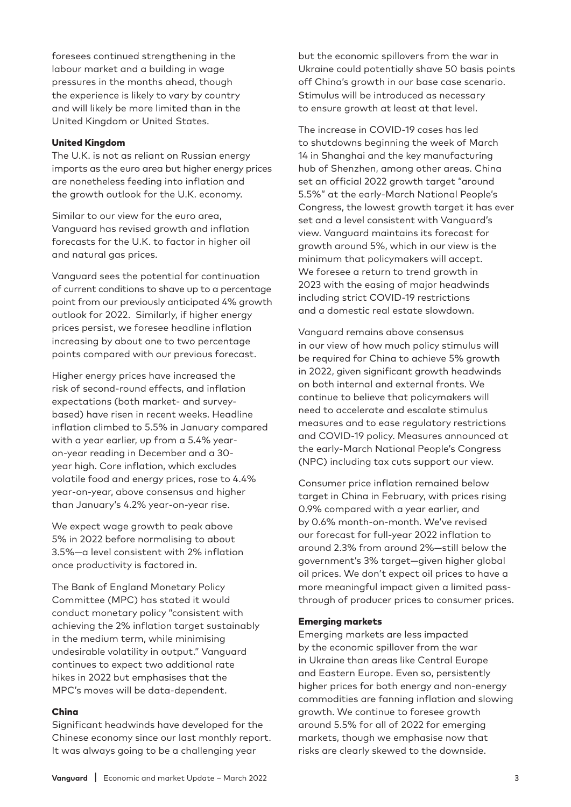foresees continued strengthening in the labour market and a building in wage pressures in the months ahead, though the experience is likely to vary by country and will likely be more limited than in the United Kingdom or United States.

#### United Kingdom

The U.K. is not as reliant on Russian energy imports as the euro area but higher energy prices are nonetheless feeding into inflation and the growth outlook for the U.K. economy.

Similar to our view for the euro area, Vanguard has revised growth and inflation forecasts for the U.K. to factor in higher oil and natural gas prices.

Vanguard sees the potential for continuation of current conditions to shave up to a percentage point from our previously anticipated 4% growth outlook for 2022. Similarly, if higher energy prices persist, we foresee headline inflation increasing by about one to two percentage points compared with our previous forecast.

Higher energy prices have increased the risk of second-round effects, and inflation expectations (both market- and surveybased) have risen in recent weeks. Headline inflation climbed to 5.5% in January compared with a year earlier, up from a 5.4% yearon-year reading in December and a 30 year high. Core inflation, which excludes volatile food and energy prices, rose to 4.4% year-on-year, above consensus and higher than January's 4.2% year-on-year rise.

We expect wage growth to peak above 5% in 2022 before normalising to about 3.5%—a level consistent with 2% inflation once productivity is factored in.

The Bank of England Monetary Policy Committee (MPC) has stated it would conduct monetary policy "consistent with achieving the 2% inflation target sustainably in the medium term, while minimising undesirable volatility in output." Vanguard continues to expect two additional rate hikes in 2022 but emphasises that the MPC's moves will be data-dependent.

#### China

Significant headwinds have developed for the Chinese economy since our last monthly report. It was always going to be a challenging year

but the economic spillovers from the war in Ukraine could potentially shave 50 basis points off China's growth in our base case scenario. Stimulus will be introduced as necessary to ensure growth at least at that level.

The increase in COVID-19 cases has led to shutdowns beginning the week of March 14 in Shanghai and the key manufacturing hub of Shenzhen, among other areas. China set an official 2022 growth target "around 5.5%" at the early-March National People's Congress, the lowest growth target it has ever set and a level consistent with Vanguard's view. Vanguard maintains its forecast for growth around 5%, which in our view is the minimum that policymakers will accept. We foresee a return to trend growth in 2023 with the easing of major headwinds including strict COVID-19 restrictions and a domestic real estate slowdown.

Vanguard remains above consensus in our view of how much policy stimulus will be required for China to achieve 5% growth in 2022, given significant growth headwinds on both internal and external fronts. We continue to believe that policymakers will need to accelerate and escalate stimulus measures and to ease regulatory restrictions and COVID-19 policy. Measures announced at the early-March National People's Congress (NPC) including tax cuts support our view.

Consumer price inflation remained below target in China in February, with prices rising 0.9% compared with a year earlier, and by 0.6% month-on-month. We've revised our forecast for full-year 2022 inflation to around 2.3% from around 2%—still below the government's 3% target—given higher global oil prices. We don't expect oil prices to have a more meaningful impact given a limited passthrough of producer prices to consumer prices.

#### Emerging markets

Emerging markets are less impacted by the economic spillover from the war in Ukraine than areas like Central Europe and Eastern Europe. Even so, persistently higher prices for both energy and non-energy commodities are fanning inflation and slowing growth. We continue to foresee growth around 5.5% for all of 2022 for emerging markets, though we emphasise now that risks are clearly skewed to the downside.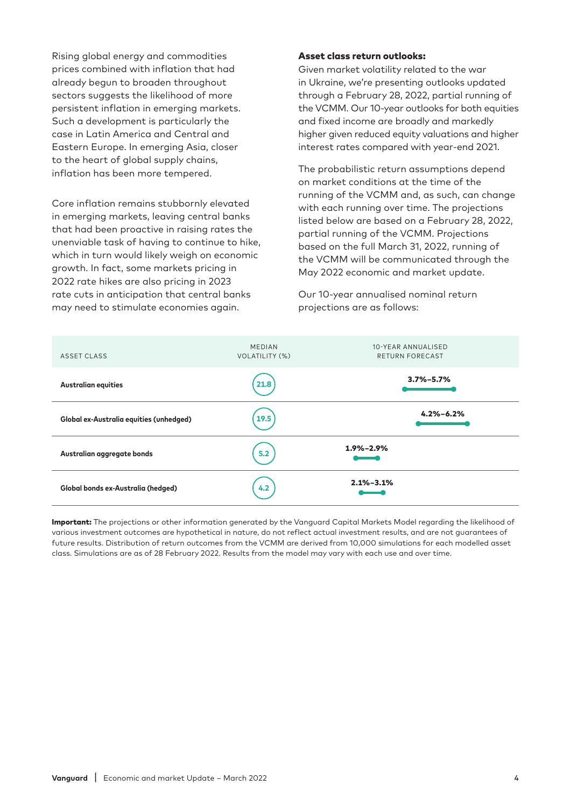Rising global energy and commodities prices combined with inflation that had already begun to broaden throughout sectors suggests the likelihood of more persistent inflation in emerging markets. Such a development is particularly the case in Latin America and Central and Eastern Europe. In emerging Asia, closer to the heart of global supply chains, inflation has been more tempered.

Core inflation remains stubbornly elevated in emerging markets, leaving central banks that had been proactive in raising rates the unenviable task of having to continue to hike, which in turn would likely weigh on economic growth. In fact, some markets pricing in 2022 rate hikes are also pricing in 2023 rate cuts in anticipation that central banks may need to stimulate economies again.

#### Asset class return outlooks:

Given market volatility related to the war in Ukraine, we're presenting outlooks updated through a February 28, 2022, partial running of the VCMM. Our 10-year outlooks for both equities and fixed income are broadly and markedly higher given reduced equity valuations and higher interest rates compared with year-end 2021.

The probabilistic return assumptions depend on market conditions at the time of the running of the VCMM and, as such, can change with each running over time. The projections listed below are based on a February 28, 2022, partial running of the VCMM. Projections based on the full March 31, 2022, running of the VCMM will be communicated through the May 2022 economic and market update.

Our 10-year annualised nominal return projections are as follows:



Important: The projections or other information generated by the Vanguard Capital Markets Model regarding the likelihood of various investment outcomes are hypothetical in nature, do not reflect actual investment results, and are not guarantees of future results. Distribution of return outcomes from the VCMM are derived from 10,000 simulations for each modelled asset class. Simulations are as of 28 February 2022. Results from the model may vary with each use and over time.